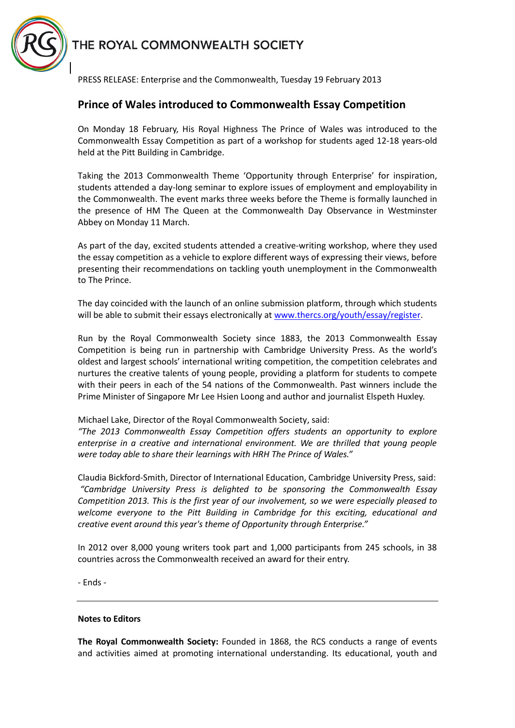



PRESS RELEASE: Enterprise and the Commonwealth, Tuesday 19 February 2013

## **Prince of Wales introduced to Commonwealth Essay Competition**

On Monday 18 February, His Royal Highness The Prince of Wales was introduced to the Commonwealth Essay Competition as part of a workshop for students aged 12-18 years-old held at the Pitt Building in Cambridge.

Taking the 2013 Commonwealth Theme 'Opportunity through Enterprise' for inspiration, students attended a day-long seminar to explore issues of employment and employability in the Commonwealth. The event marks three weeks before the Theme is formally launched in the presence of HM The Queen at the Commonwealth Day Observance in Westminster Abbey on Monday 11 March.

As part of the day, excited students attended a creative-writing workshop, where they used the essay competition as a vehicle to explore different ways of expressing their views, before presenting their recommendations on tackling youth unemployment in the Commonwealth to The Prince.

The day coincided with the launch of an online submission platform, through which students will be able to submit their essays electronically at [www.thercs.org/youth/essay/register.](http://www.thercs.org/youth/essay/register)

Run by the Royal Commonwealth Society since 1883, the 2013 Commonwealth Essay Competition is being run in partnership with Cambridge University Press. As the world's oldest and largest schools' international writing competition, the competition celebrates and nurtures the creative talents of young people, providing a platform for students to compete with their peers in each of the 54 nations of the Commonwealth. Past winners include the Prime Minister of Singapore Mr Lee Hsien Loong and author and journalist Elspeth Huxley.

Michael Lake, Director of the Royal Commonwealth Society, said:

*"The 2013 Commonwealth Essay Competition offers students an opportunity to explore enterprise in a creative and international environment. We are thrilled that young people were today able to share their learnings with HRH The Prince of Wales."*

Claudia Bickford-Smith, Director of International Education, Cambridge University Press, said: *"Cambridge University Press is delighted to be sponsoring the Commonwealth Essay Competition 2013. This is the first year of our involvement, so we were especially pleased to welcome everyone to the Pitt Building in Cambridge for this exciting, educational and creative event around this year's theme of Opportunity through Enterprise."*

In 2012 over 8,000 young writers took part and 1,000 participants from 245 schools, in 38 countries across the Commonwealth received an award for their entry.

- Ends -

## **Notes to Editors**

**The Royal Commonwealth Society:** Founded in 1868, the RCS conducts a range of events and activities aimed at promoting international understanding. Its educational, youth and